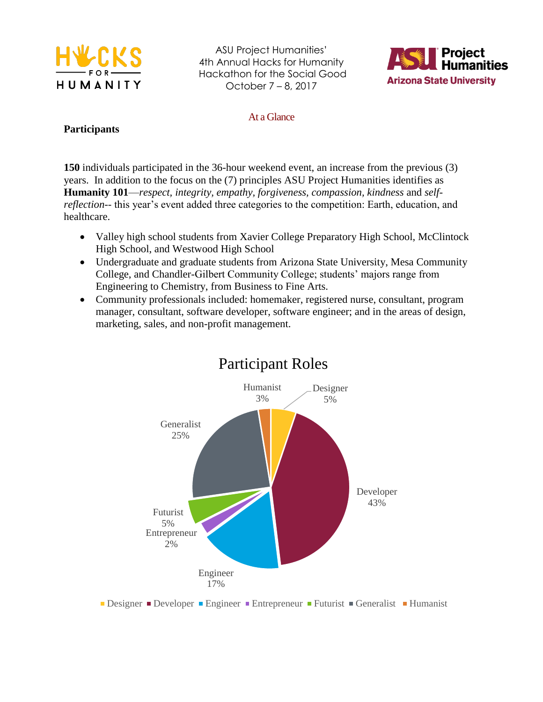



At a Glance

#### **Participants**

**150** individuals participated in the 36-hour weekend event, an increase from the previous (3) years. In addition to the focus on the (7) principles ASU Project Humanities identifies as **Humanity 101**—*respect, integrity, empathy, forgiveness, compassion, kindness* and *selfreflection*-- this year's event added three categories to the competition: Earth, education, and healthcare.

- Valley high school students from Xavier College Preparatory High School, McClintock High School, and Westwood High School
- Undergraduate and graduate students from Arizona State University, Mesa Community College, and Chandler-Gilbert Community College; students' majors range from Engineering to Chemistry, from Business to Fine Arts.
- Community professionals included: homemaker, registered nurse, consultant, program manager, consultant, software developer, software engineer; and in the areas of design, marketing, sales, and non-profit management.



## Participant Roles

■ Designer ■ Developer ■ Engineer ■ Entrepreneur ■ Futurist ■ Generalist ■ Humanist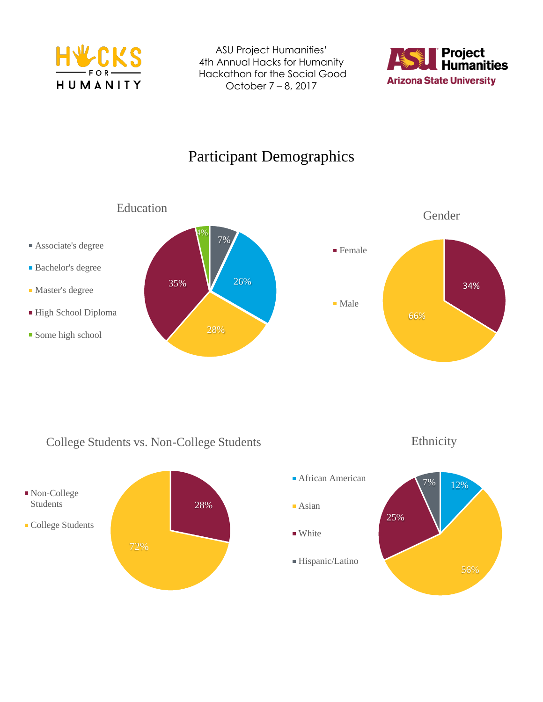



# Participant Demographics



### College Students vs. Non-College Students



12% 56% 25% 7% **African American Asian** ■ White Hispanic/Latino

Ethnicity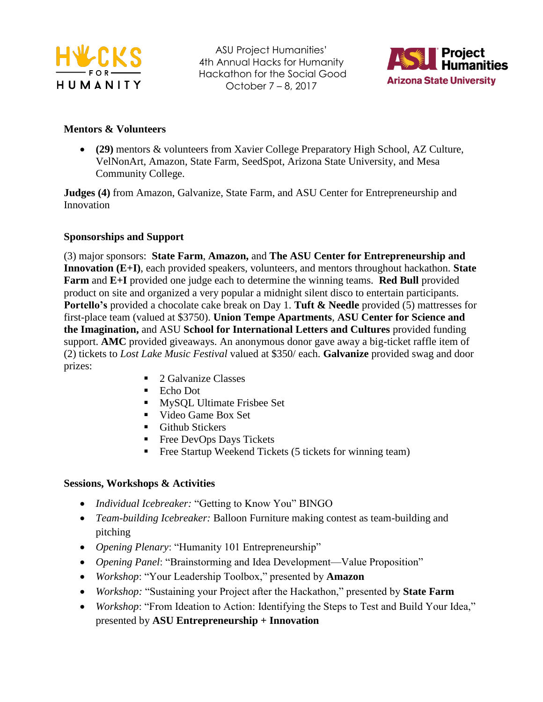



#### **Mentors & Volunteers**

 **(29)** mentors & volunteers from Xavier College Preparatory High School, AZ Culture, VelNonArt, Amazon, State Farm, SeedSpot, Arizona State University, and Mesa Community College.

**Judges (4)** from Amazon, Galvanize, State Farm, and ASU Center for Entrepreneurship and Innovation

#### **Sponsorships and Support**

(3) major sponsors: **State Farm**, **Amazon,** and **The ASU Center for Entrepreneurship and Innovation (E+I)**, each provided speakers, volunteers, and mentors throughout hackathon. **State Farm** and **E+I** provided one judge each to determine the winning teams. **Red Bull** provided product on site and organized a very popular a midnight silent disco to entertain participants. **Portello's** provided a chocolate cake break on Day 1. **Tuft & Needle** provided (5) mattresses for first-place team (valued at \$3750). **Union Tempe Apartments**, **ASU Center for Science and the Imagination,** and ASU **School for International Letters and Cultures** provided funding support. **AMC** provided giveaways. An anonymous donor gave away a big-ticket raffle item of (2) tickets to *Lost Lake Music Festival* valued at \$350/ each. **Galvanize** provided swag and door prizes:

- 2 Galvanize Classes
- Echo Dot
- **MySOL Ultimate Frisbee Set**
- Video Game Box Set
- **Github Stickers**
- Free DevOps Days Tickets
- Free Startup Weekend Tickets (5 tickets for winning team)

#### **Sessions, Workshops & Activities**

- *Individual Icebreaker:* "Getting to Know You" BINGO
- *Team-building Icebreaker:* Balloon Furniture making contest as team-building and pitching
- *Opening Plenary*: "Humanity 101 Entrepreneurship"
- *Opening Panel*: "Brainstorming and Idea Development—Value Proposition"
- *Workshop*: "Your Leadership Toolbox," presented by **Amazon**
- *Workshop:* "Sustaining your Project after the Hackathon," presented by **State Farm**
- *Workshop*: "From Ideation to Action: Identifying the Steps to Test and Build Your Idea," presented by **ASU Entrepreneurship + Innovation**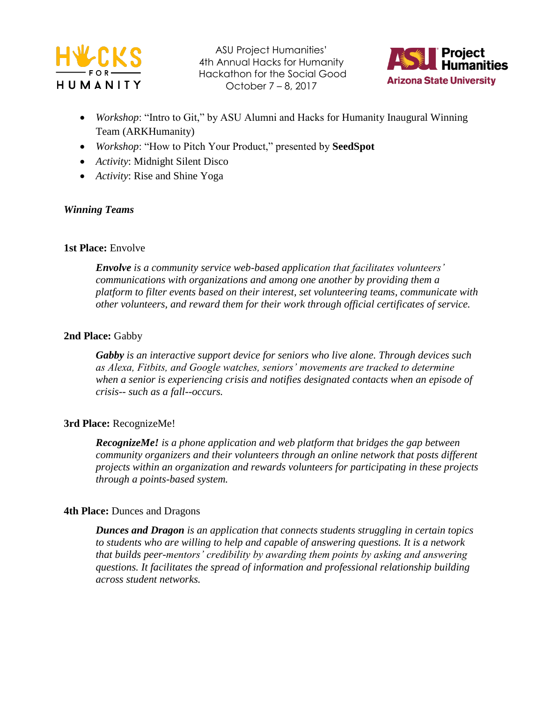



- *Workshop*: "Intro to Git," by ASU Alumni and Hacks for Humanity Inaugural Winning Team (ARKHumanity)
- *Workshop*: "How to Pitch Your Product," presented by **SeedSpot**
- *Activity*: Midnight Silent Disco
- *Activity*: Rise and Shine Yoga

#### *Winning Teams*

#### **1st Place:** Envolve

*Envolve is a community service web-based application that facilitates volunteers' communications with organizations and among one another by providing them a platform to filter events based on their interest, set volunteering teams, communicate with other volunteers, and reward them for their work through official certificates of service.* 

#### 2nd Place: Gabby

*Gabby is an interactive support device for seniors who live alone. Through devices such as Alexa, Fitbits, and Google watches, seniors' movements are tracked to determine when a senior is experiencing crisis and notifies designated contacts when an episode of crisis-- such as a fall--occurs.* 

#### **3rd Place:** RecognizeMe!

*RecognizeMe! is a phone application and web platform that bridges the gap between community organizers and their volunteers through an online network that posts different projects within an organization and rewards volunteers for participating in these projects through a points-based system.*

#### **4th Place: Dunces and Dragons**

*Dunces and Dragon is an application that connects students struggling in certain topics to students who are willing to help and capable of answering questions. It is a network that builds peer-mentors' credibility by awarding them points by asking and answering questions. It facilitates the spread of information and professional relationship building across student networks.*